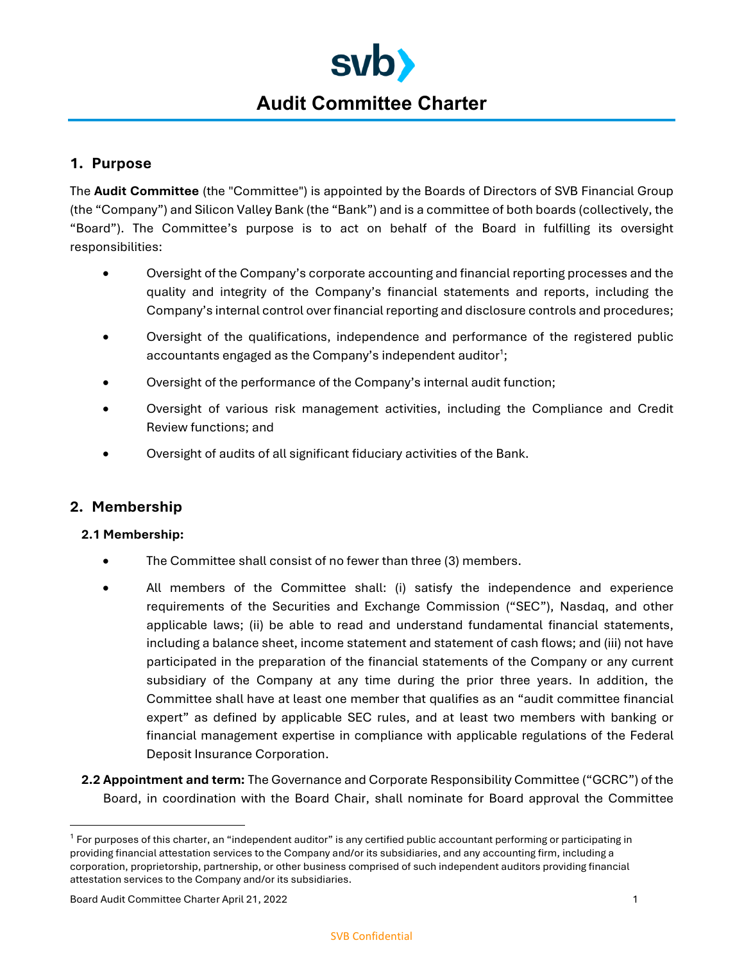

# **Audit Committee Charter**

# **1. Purpose**

The **Audit Committee** (the "Committee") is appointed by the Boards of Directors of SVB Financial Group (the "Company") and Silicon Valley Bank (the "Bank") and is a committee of both boards (collectively, the "Board"). The Committee's purpose is to act on behalf of the Board in fulfilling its oversight responsibilities:

- Oversight of the Company's corporate accounting and financial reporting processes and the quality and integrity of the Company's financial statements and reports, including the Company's internal control over financial reporting and disclosure controls and procedures;
- Oversight of the qualifications, independence and performance of the registered public accountants engaged as the Company's independent auditor<sup>1</sup>;
- Oversight of the performance of the Company's internal audit function;
- Oversight of various risk management activities, including the Compliance and Credit Review functions; and
- Oversight of audits of all significant fiduciary activities of the Bank.

## **2. Membership**

#### **2.1 Membership:**

- The Committee shall consist of no fewer than three (3) members.
- All members of the Committee shall: (i) satisfy the independence and experience requirements of the Securities and Exchange Commission ("SEC"), Nasdaq, and other applicable laws; (ii) be able to read and understand fundamental financial statements, including a balance sheet, income statement and statement of cash flows; and (iii) not have participated in the preparation of the financial statements of the Company or any current subsidiary of the Company at any time during the prior three years. In addition, the Committee shall have at least one member that qualifies as an "audit committee financial expert" as defined by applicable SEC rules, and at least two members with banking or financial management expertise in compliance with applicable regulations of the Federal Deposit Insurance Corporation.
- **2.2 Appointment and term:** The Governance and Corporate Responsibility Committee ("GCRC") of the Board, in coordination with the Board Chair, shall nominate for Board approval the Committee

Board Audit Committee Charter April 21, 2022 1

<sup>&</sup>lt;sup>1</sup> For purposes of this charter, an "independent auditor" is any certified public accountant performing or participating in providing financial attestation services to the Company and/or its subsidiaries, and any accounting firm, including a corporation, proprietorship, partnership, or other business comprised of such independent auditors providing financial attestation services to the Company and/or its subsidiaries.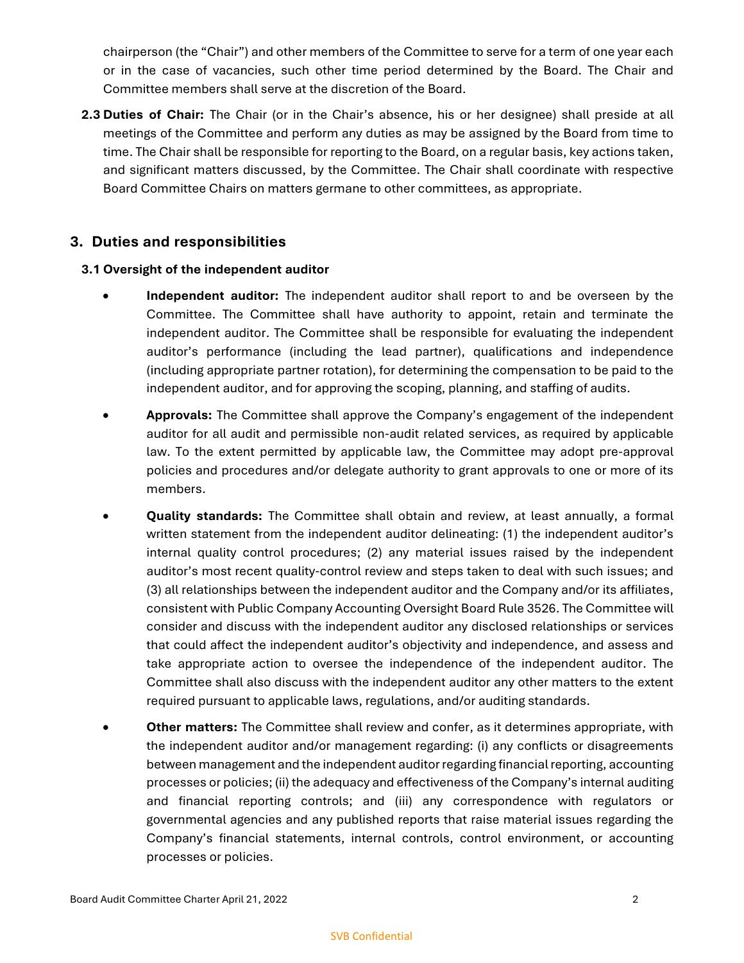chairperson (the "Chair") and other members of the Committee to serve for a term of one year each or in the case of vacancies, such other time period determined by the Board. The Chair and Committee members shall serve at the discretion of the Board.

**2.3 Duties of Chair:** The Chair (or in the Chair's absence, his or her designee) shall preside at all meetings of the Committee and perform any duties as may be assigned by the Board from time to time. The Chair shall be responsible for reporting to the Board, on a regular basis, key actions taken, and significant matters discussed, by the Committee. The Chair shall coordinate with respective Board Committee Chairs on matters germane to other committees, as appropriate.

# **3. Duties and responsibilities**

#### **3.1 Oversight of the independent auditor**

- **Independent auditor:** The independent auditor shall report to and be overseen by the Committee. The Committee shall have authority to appoint, retain and terminate the independent auditor. The Committee shall be responsible for evaluating the independent auditor's performance (including the lead partner), qualifications and independence (including appropriate partner rotation), for determining the compensation to be paid to the independent auditor, and for approving the scoping, planning, and staffing of audits.
- **Approvals:** The Committee shall approve the Company's engagement of the independent auditor for all audit and permissible non-audit related services, as required by applicable law. To the extent permitted by applicable law, the Committee may adopt pre-approval policies and procedures and/or delegate authority to grant approvals to one or more of its members.
- **Quality standards:** The Committee shall obtain and review, at least annually, a formal written statement from the independent auditor delineating: (1) the independent auditor's internal quality control procedures; (2) any material issues raised by the independent auditor's most recent quality-control review and steps taken to deal with such issues; and (3) all relationships between the independent auditor and the Company and/or its affiliates, consistent with Public Company Accounting Oversight Board Rule 3526. The Committee will consider and discuss with the independent auditor any disclosed relationships or services that could affect the independent auditor's objectivity and independence, and assess and take appropriate action to oversee the independence of the independent auditor. The Committee shall also discuss with the independent auditor any other matters to the extent required pursuant to applicable laws, regulations, and/or auditing standards.
- **Other matters:** The Committee shall review and confer, as it determines appropriate, with the independent auditor and/or management regarding: (i) any conflicts or disagreements between management and the independent auditor regarding financial reporting, accounting processes or policies; (ii) the adequacy and effectiveness of the Company's internal auditing and financial reporting controls; and (iii) any correspondence with regulators or governmental agencies and any published reports that raise material issues regarding the Company's financial statements, internal controls, control environment, or accounting processes or policies.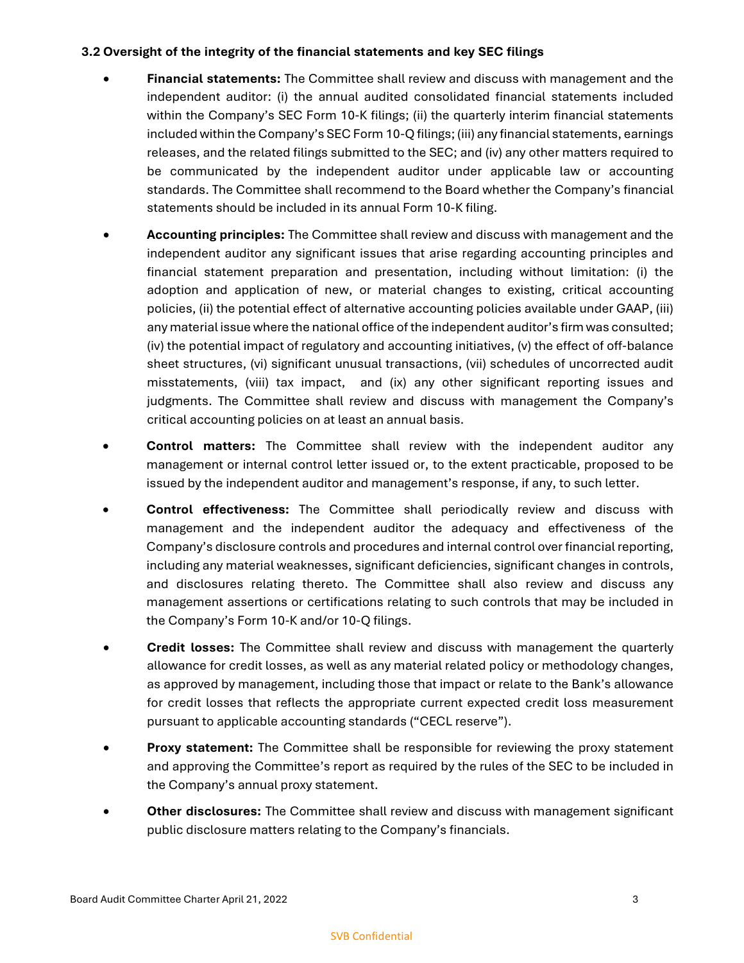#### **3.2 Oversight of the integrity of the financial statements and key SEC filings**

- **Financial statements:** The Committee shall review and discuss with management and the independent auditor: (i) the annual audited consolidated financial statements included within the Company's SEC Form 10-K filings; (ii) the quarterly interim financial statements included within the Company's SEC Form 10-Q filings; (iii) any financial statements, earnings releases, and the related filings submitted to the SEC; and (iv) any other matters required to be communicated by the independent auditor under applicable law or accounting standards. The Committee shall recommend to the Board whether the Company's financial statements should be included in its annual Form 10-K filing.
- **Accounting principles:** The Committee shall review and discuss with management and the independent auditor any significant issues that arise regarding accounting principles and financial statement preparation and presentation, including without limitation: (i) the adoption and application of new, or material changes to existing, critical accounting policies, (ii) the potential effect of alternative accounting policies available under GAAP, (iii) any material issue where the national office of the independent auditor's firm was consulted; (iv) the potential impact of regulatory and accounting initiatives, (v) the effect of off-balance sheet structures, (vi) significant unusual transactions, (vii) schedules of uncorrected audit misstatements, (viii) tax impact, and (ix) any other significant reporting issues and judgments. The Committee shall review and discuss with management the Company's critical accounting policies on at least an annual basis.
- **Control matters:** The Committee shall review with the independent auditor any management or internal control letter issued or, to the extent practicable, proposed to be issued by the independent auditor and management's response, if any, to such letter.
- **Control effectiveness:** The Committee shall periodically review and discuss with management and the independent auditor the adequacy and effectiveness of the Company's disclosure controls and procedures and internal control over financial reporting, including any material weaknesses, significant deficiencies, significant changes in controls, and disclosures relating thereto. The Committee shall also review and discuss any management assertions or certifications relating to such controls that may be included in the Company's Form 10-K and/or 10-Q filings.
- **Credit losses:** The Committee shall review and discuss with management the quarterly allowance for credit losses, as well as any material related policy or methodology changes, as approved by management, including those that impact or relate to the Bank's allowance for credit losses that reflects the appropriate current expected credit loss measurement pursuant to applicable accounting standards ("CECL reserve").
- **Proxy statement:** The Committee shall be responsible for reviewing the proxy statement and approving the Committee's report as required by the rules of the SEC to be included in the Company's annual proxy statement.
- **Other disclosures:** The Committee shall review and discuss with management significant public disclosure matters relating to the Company's financials.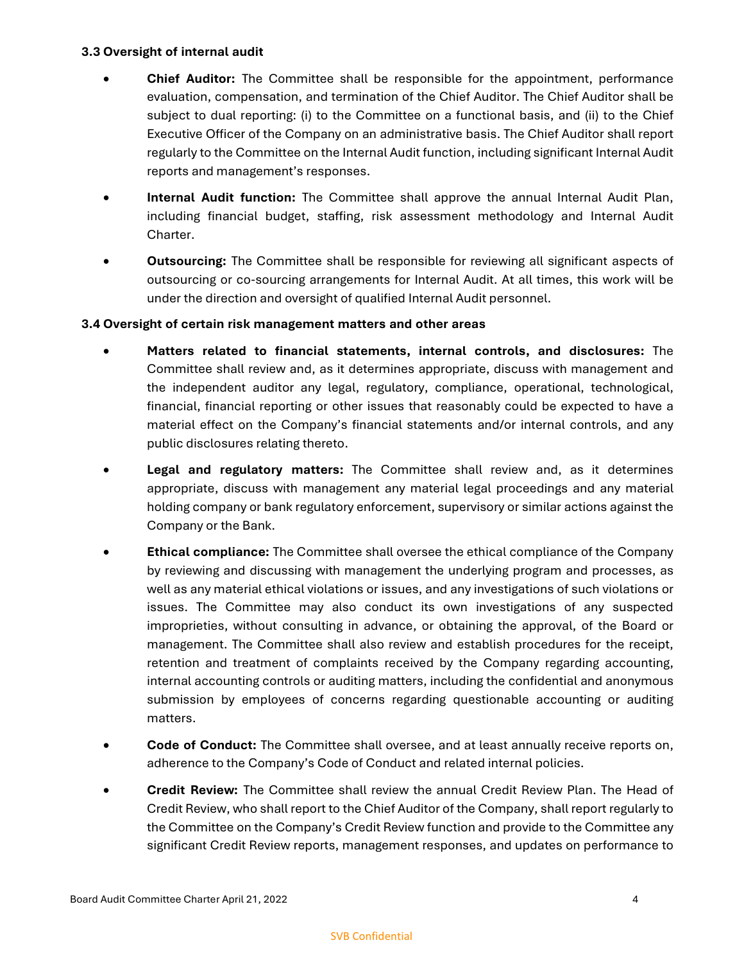#### **3.3 Oversight of internal audit**

- **Chief Auditor:** The Committee shall be responsible for the appointment, performance evaluation, compensation, and termination of the Chief Auditor. The Chief Auditor shall be subject to dual reporting: (i) to the Committee on a functional basis, and (ii) to the Chief Executive Officer of the Company on an administrative basis. The Chief Auditor shall report regularly to the Committee on the Internal Audit function, including significant Internal Audit reports and management's responses.
- **Internal Audit function:** The Committee shall approve the annual Internal Audit Plan, including financial budget, staffing, risk assessment methodology and Internal Audit Charter.
- **Outsourcing:** The Committee shall be responsible for reviewing all significant aspects of outsourcing or co-sourcing arrangements for Internal Audit. At all times, this work will be under the direction and oversight of qualified Internal Audit personnel.

#### **3.4 Oversight of certain risk management matters and other areas**

- **Matters related to financial statements, internal controls, and disclosures:** The Committee shall review and, as it determines appropriate, discuss with management and the independent auditor any legal, regulatory, compliance, operational, technological, financial, financial reporting or other issues that reasonably could be expected to have a material effect on the Company's financial statements and/or internal controls, and any public disclosures relating thereto.
- **Legal and regulatory matters:** The Committee shall review and, as it determines appropriate, discuss with management any material legal proceedings and any material holding company or bank regulatory enforcement, supervisory or similar actions against the Company or the Bank.
- **Ethical compliance:** The Committee shall oversee the ethical compliance of the Company by reviewing and discussing with management the underlying program and processes, as well as any material ethical violations or issues, and any investigations of such violations or issues. The Committee may also conduct its own investigations of any suspected improprieties, without consulting in advance, or obtaining the approval, of the Board or management. The Committee shall also review and establish procedures for the receipt, retention and treatment of complaints received by the Company regarding accounting, internal accounting controls or auditing matters, including the confidential and anonymous submission by employees of concerns regarding questionable accounting or auditing matters.
- **Code of Conduct:** The Committee shall oversee, and at least annually receive reports on, adherence to the Company's Code of Conduct and related internal policies.
- **Credit Review:** The Committee shall review the annual Credit Review Plan. The Head of Credit Review, who shall report to the Chief Auditor of the Company, shall report regularly to the Committee on the Company's Credit Review function and provide to the Committee any significant Credit Review reports, management responses, and updates on performance to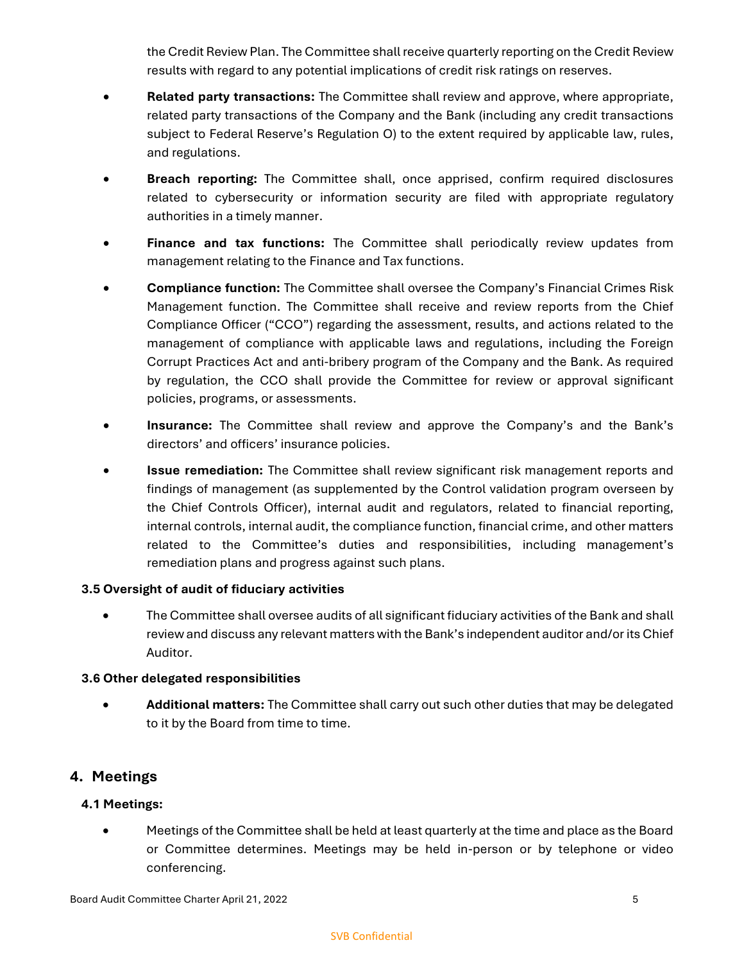the Credit Review Plan. The Committee shall receive quarterly reporting on the Credit Review results with regard to any potential implications of credit risk ratings on reserves.

- **Related party transactions:** The Committee shall review and approve, where appropriate, related party transactions of the Company and the Bank (including any credit transactions subject to Federal Reserve's Regulation O) to the extent required by applicable law, rules, and regulations.
- **Breach reporting:** The Committee shall, once apprised, confirm required disclosures related to cybersecurity or information security are filed with appropriate regulatory authorities in a timely manner.
- **Finance and tax functions:** The Committee shall periodically review updates from management relating to the Finance and Tax functions.
- **Compliance function:** The Committee shall oversee the Company's Financial Crimes Risk Management function. The Committee shall receive and review reports from the Chief Compliance Officer ("CCO") regarding the assessment, results, and actions related to the management of compliance with applicable laws and regulations, including the Foreign Corrupt Practices Act and anti-bribery program of the Company and the Bank. As required by regulation, the CCO shall provide the Committee for review or approval significant policies, programs, or assessments.
- **Insurance:** The Committee shall review and approve the Company's and the Bank's directors' and officers' insurance policies.
- **Issue remediation:** The Committee shall review significant risk management reports and findings of management (as supplemented by the Control validation program overseen by the Chief Controls Officer), internal audit and regulators, related to financial reporting, internal controls, internal audit, the compliance function, financial crime, and other matters related to the Committee's duties and responsibilities, including management's remediation plans and progress against such plans.

#### **3.5 Oversight of audit of fiduciary activities**

• The Committee shall oversee audits of all significant fiduciary activities of the Bank and shall review and discuss any relevant matters with the Bank's independent auditor and/or its Chief Auditor.

## **3.6 Other delegated responsibilities**

**• Additional matters:** The Committee shall carry out such other duties that may be delegated to it by the Board from time to time.

# **4. Meetings**

## **4.1 Meetings:**

 Meetings of the Committee shall be held at least quarterly at the time and place as the Board or Committee determines. Meetings may be held in-person or by telephone or video conferencing.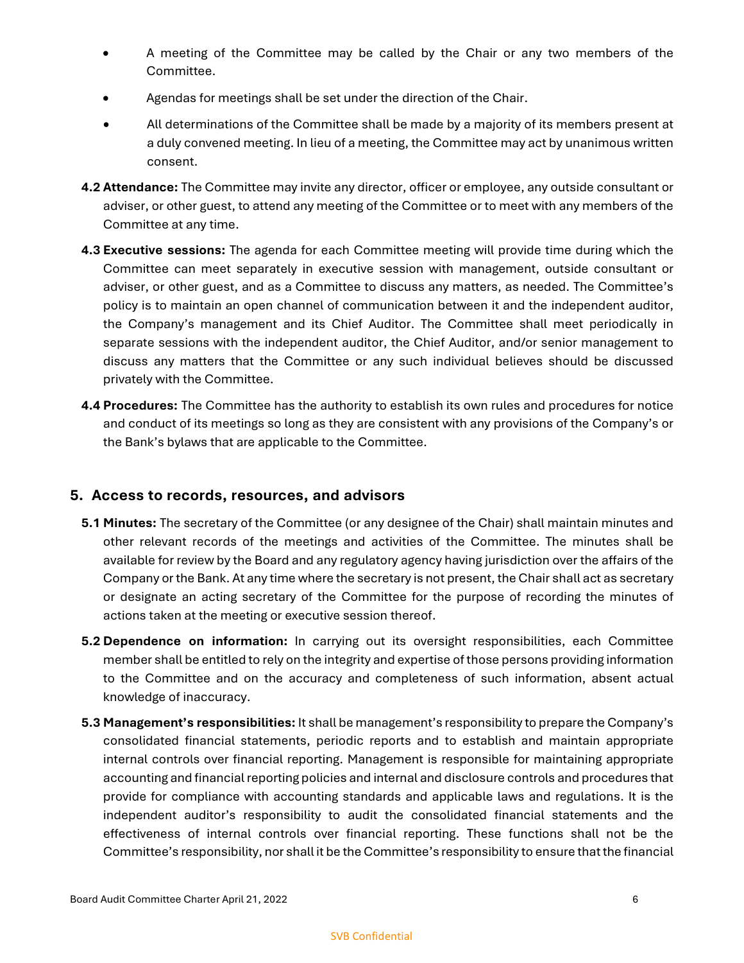- A meeting of the Committee may be called by the Chair or any two members of the Committee.
- Agendas for meetings shall be set under the direction of the Chair.
- All determinations of the Committee shall be made by a majority of its members present at a duly convened meeting. In lieu of a meeting, the Committee may act by unanimous written consent.
- **4.2 Attendance:** The Committee may invite any director, officer or employee, any outside consultant or adviser, or other guest, to attend any meeting of the Committee or to meet with any members of the Committee at any time.
- **4.3 Executive sessions:** The agenda for each Committee meeting will provide time during which the Committee can meet separately in executive session with management, outside consultant or adviser, or other guest, and as a Committee to discuss any matters, as needed. The Committee's policy is to maintain an open channel of communication between it and the independent auditor, the Company's management and its Chief Auditor. The Committee shall meet periodically in separate sessions with the independent auditor, the Chief Auditor, and/or senior management to discuss any matters that the Committee or any such individual believes should be discussed privately with the Committee.
- **4.4 Procedures:** The Committee has the authority to establish its own rules and procedures for notice and conduct of its meetings so long as they are consistent with any provisions of the Company's or the Bank's bylaws that are applicable to the Committee.

## **5. Access to records, resources, and advisors**

- **5.1 Minutes:** The secretary of the Committee (or any designee of the Chair) shall maintain minutes and other relevant records of the meetings and activities of the Committee. The minutes shall be available for review by the Board and any regulatory agency having jurisdiction over the affairs of the Company or the Bank. At any time where the secretary is not present, the Chair shall act as secretary or designate an acting secretary of the Committee for the purpose of recording the minutes of actions taken at the meeting or executive session thereof.
- **5.2 Dependence on information:** In carrying out its oversight responsibilities, each Committee member shall be entitled to rely on the integrity and expertise of those persons providing information to the Committee and on the accuracy and completeness of such information, absent actual knowledge of inaccuracy.
- **5.3 Management's responsibilities:** It shall be management's responsibility to prepare the Company's consolidated financial statements, periodic reports and to establish and maintain appropriate internal controls over financial reporting. Management is responsible for maintaining appropriate accounting and financial reporting policies and internal and disclosure controls and procedures that provide for compliance with accounting standards and applicable laws and regulations. It is the independent auditor's responsibility to audit the consolidated financial statements and the effectiveness of internal controls over financial reporting. These functions shall not be the Committee's responsibility, nor shall it be the Committee's responsibility to ensure that the financial